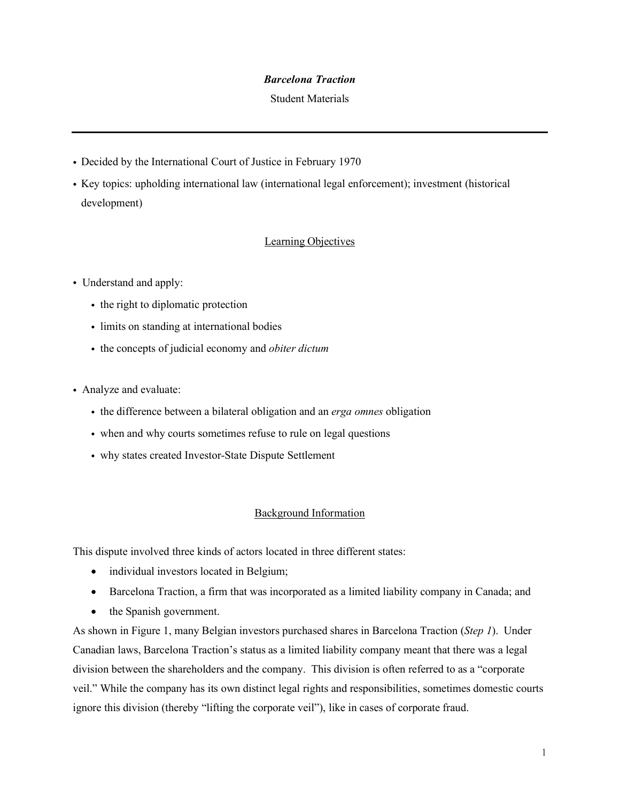### *Barcelona Traction*

#### Student Materials

- ! Decided by the International Court of Justice in February 1970
- ! Key topics: upholding international law (international legal enforcement); investment (historical development)

# Learning Objectives

### • Understand and apply:

- the right to diplomatic protection
- limits on standing at international bodies
- ! the concepts of judicial economy and *obiter dictum*
- ! Analyze and evaluate:
	- ! the difference between a bilateral obligation and an *erga omnes* obligation
	- ! when and why courts sometimes refuse to rule on legal questions
	- ! why states created Investor-State Dispute Settlement

## Background Information

This dispute involved three kinds of actors located in three different states:

- individual investors located in Belgium;
- Barcelona Traction, a firm that was incorporated as a limited liability company in Canada; and
- the Spanish government.

As shown in Figure 1, many Belgian investors purchased shares in Barcelona Traction (*Step 1*). Under Canadian laws, Barcelona Traction's status as a limited liability company meant that there was a legal division between the shareholders and the company. This division is often referred to as a "corporate veil." While the company has its own distinct legal rights and responsibilities, sometimes domestic courts ignore this division (thereby "lifting the corporate veil"), like in cases of corporate fraud.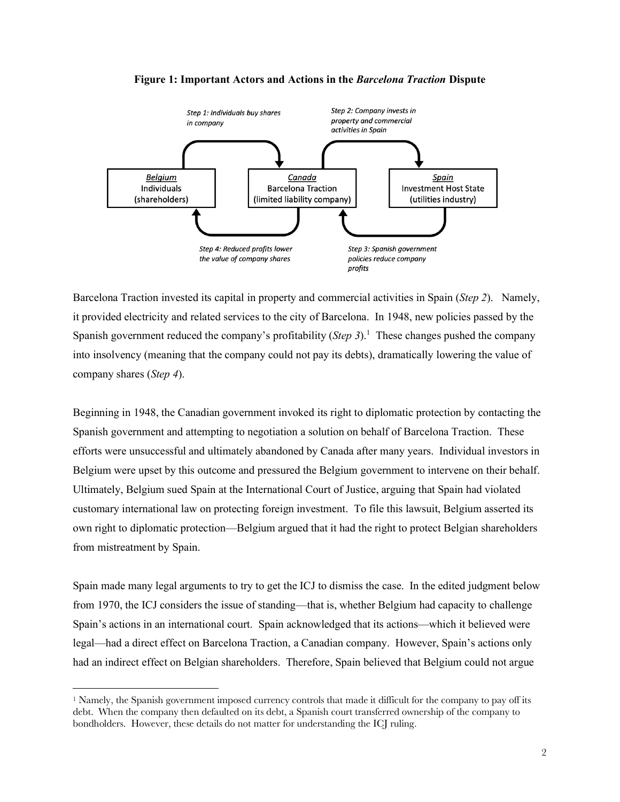



Barcelona Traction invested its capital in property and commercial activities in Spain (*Step 2*). Namely, it provided electricity and related services to the city of Barcelona. In 1948, new policies passed by the Spanish government reduced the company's profitability  $(S \text{top } 3)$ .<sup>1</sup> These changes pushed the company into insolvency (meaning that the company could not pay its debts), dramatically lowering the value of company shares (*Step 4*).

Beginning in 1948, the Canadian government invoked its right to diplomatic protection by contacting the Spanish government and attempting to negotiation a solution on behalf of Barcelona Traction. These efforts were unsuccessful and ultimately abandoned by Canada after many years. Individual investors in Belgium were upset by this outcome and pressured the Belgium government to intervene on their behalf. Ultimately, Belgium sued Spain at the International Court of Justice, arguing that Spain had violated customary international law on protecting foreign investment. To file this lawsuit, Belgium asserted its own right to diplomatic protection—Belgium argued that it had the right to protect Belgian shareholders from mistreatment by Spain.

Spain made many legal arguments to try to get the ICJ to dismiss the case. In the edited judgment below from 1970, the ICJ considers the issue of standing—that is, whether Belgium had capacity to challenge Spain's actions in an international court. Spain acknowledged that its actions—which it believed were legal—had a direct effect on Barcelona Traction, a Canadian company. However, Spain's actions only had an indirect effect on Belgian shareholders. Therefore, Spain believed that Belgium could not argue

<sup>1</sup> Namely, the Spanish government imposed currency controls that made it difficult for the company to pay off its debt. When the company then defaulted on its debt, a Spanish court transferred ownership of the company to bondholders. However, these details do not matter for understanding the ICJ ruling.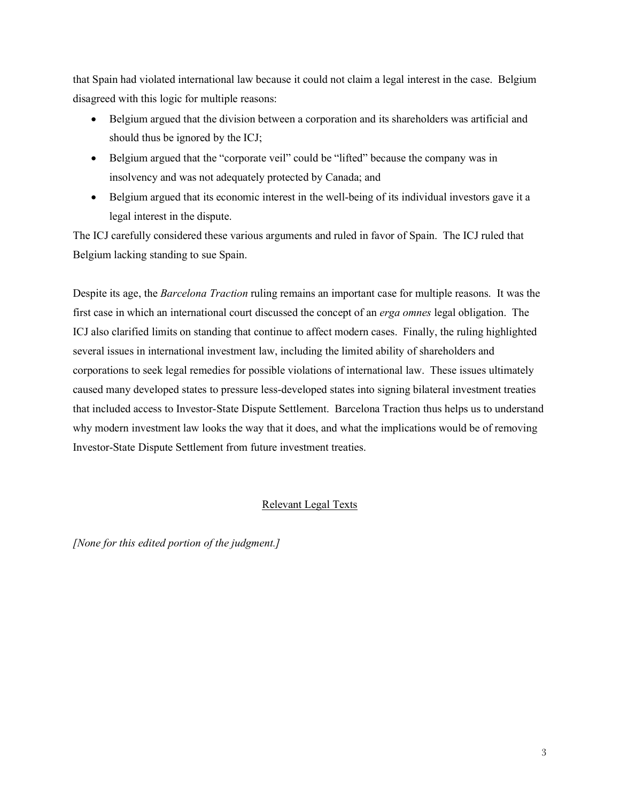that Spain had violated international law because it could not claim a legal interest in the case. Belgium disagreed with this logic for multiple reasons:

- Belgium argued that the division between a corporation and its shareholders was artificial and should thus be ignored by the ICJ;
- Belgium argued that the "corporate veil" could be "lifted" because the company was in insolvency and was not adequately protected by Canada; and
- Belgium argued that its economic interest in the well-being of its individual investors gave it a legal interest in the dispute.

The ICJ carefully considered these various arguments and ruled in favor of Spain. The ICJ ruled that Belgium lacking standing to sue Spain.

Despite its age, the *Barcelona Traction* ruling remains an important case for multiple reasons. It was the first case in which an international court discussed the concept of an *erga omnes* legal obligation. The ICJ also clarified limits on standing that continue to affect modern cases. Finally, the ruling highlighted several issues in international investment law, including the limited ability of shareholders and corporations to seek legal remedies for possible violations of international law. These issues ultimately caused many developed states to pressure less-developed states into signing bilateral investment treaties that included access to Investor-State Dispute Settlement. Barcelona Traction thus helps us to understand why modern investment law looks the way that it does, and what the implications would be of removing Investor-State Dispute Settlement from future investment treaties.

# Relevant Legal Texts

*[None for this edited portion of the judgment.]*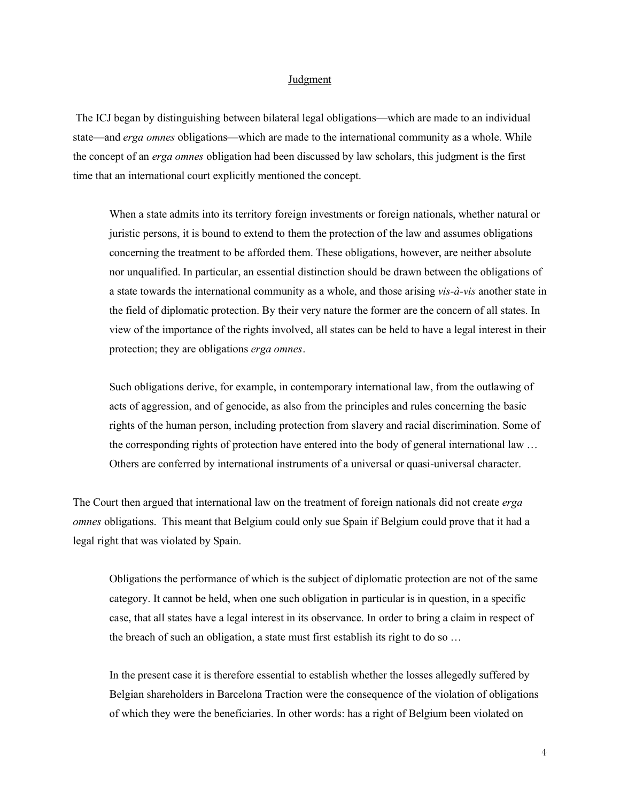#### Judgment

The ICJ began by distinguishing between bilateral legal obligations—which are made to an individual state—and *erga omnes* obligations—which are made to the international community as a whole. While the concept of an *erga omnes* obligation had been discussed by law scholars, this judgment is the first time that an international court explicitly mentioned the concept.

When a state admits into its territory foreign investments or foreign nationals, whether natural or juristic persons, it is bound to extend to them the protection of the law and assumes obligations concerning the treatment to be afforded them. These obligations, however, are neither absolute nor unqualified. In particular, an essential distinction should be drawn between the obligations of a state towards the international community as a whole, and those arising *vis-à-vis* another state in the field of diplomatic protection. By their very nature the former are the concern of all states. In view of the importance of the rights involved, all states can be held to have a legal interest in their protection; they are obligations *erga omnes*.

Such obligations derive, for example, in contemporary international law, from the outlawing of acts of aggression, and of genocide, as also from the principles and rules concerning the basic rights of the human person, including protection from slavery and racial discrimination. Some of the corresponding rights of protection have entered into the body of general international law … Others are conferred by international instruments of a universal or quasi-universal character.

The Court then argued that international law on the treatment of foreign nationals did not create *erga omnes* obligations. This meant that Belgium could only sue Spain if Belgium could prove that it had a legal right that was violated by Spain.

Obligations the performance of which is the subject of diplomatic protection are not of the same category. It cannot be held, when one such obligation in particular is in question, in a specific case, that all states have a legal interest in its observance. In order to bring a claim in respect of the breach of such an obligation, a state must first establish its right to do so …

In the present case it is therefore essential to establish whether the losses allegedly suffered by Belgian shareholders in Barcelona Traction were the consequence of the violation of obligations of which they were the beneficiaries. In other words: has a right of Belgium been violated on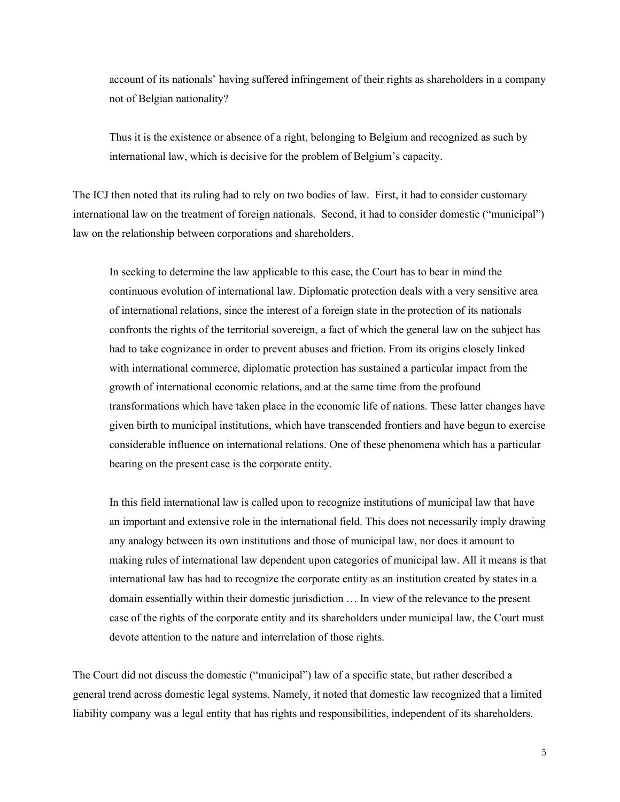account of its nationals' having suffered infringement of their rights as shareholders in a company not of Belgian nationality?

Thus it is the existence or absence of a right, belonging to Belgium and recognized as such by international law, which is decisive for the problem of Belgium's capacity.

The ICJ then noted that its ruling had to rely on two bodies of law. First, it had to consider customary international law on the treatment of foreign nationals. Second, it had to consider domestic ("municipal") law on the relationship between corporations and shareholders.

In seeking to determine the law applicable to this case, the Court has to bear in mind the continuous evolution of international law. Diplomatic protection deals with a very sensitive area of international relations, since the interest of a foreign state in the protection of its nationals confronts the rights of the territorial sovereign, a fact of which the general law on the subject has had to take cognizance in order to prevent abuses and friction. From its origins closely linked with international commerce, diplomatic protection has sustained a particular impact from the growth of international economic relations, and at the same time from the profound transformations which have taken place in the economic life of nations. These latter changes have given birth to municipal institutions, which have transcended frontiers and have begun to exercise considerable influence on international relations. One of these phenomena which has a particular bearing on the present case is the corporate entity.

In this field international law is called upon to recognize institutions of municipal law that have an important and extensive role in the international field. This does not necessarily imply drawing any analogy between its own institutions and those of municipal law, nor does it amount to making rules of international law dependent upon categories of municipal law. All it means is that international law has had to recognize the corporate entity as an institution created by states in a domain essentially within their domestic jurisdiction … In view of the relevance to the present case of the rights of the corporate entity and its shareholders under municipal law, the Court must devote attention to the nature and interrelation of those rights.

The Court did not discuss the domestic ("municipal") law of a specific state, but rather described a general trend across domestic legal systems. Namely, it noted that domestic law recognized that a limited liability company was a legal entity that has rights and responsibilities, independent of its shareholders.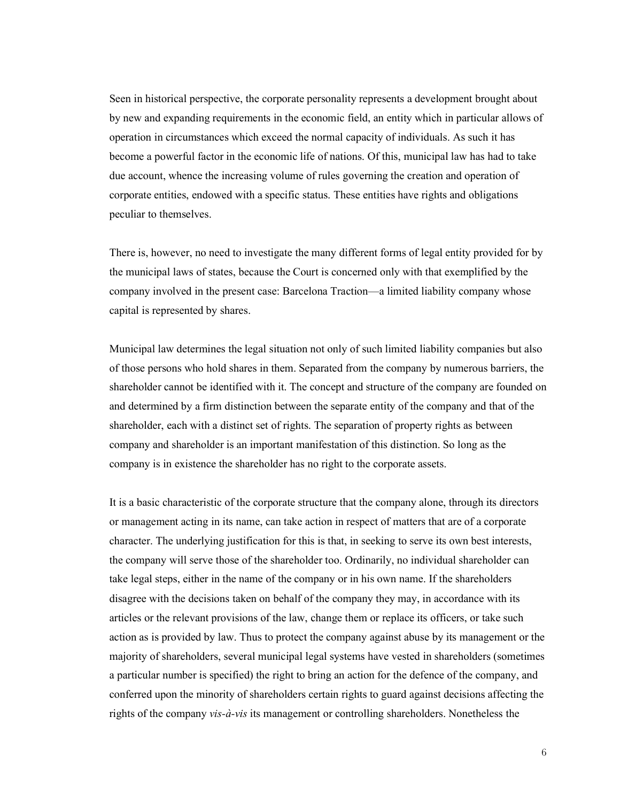Seen in historical perspective, the corporate personality represents a development brought about by new and expanding requirements in the economic field, an entity which in particular allows of operation in circumstances which exceed the normal capacity of individuals. As such it has become a powerful factor in the economic life of nations. Of this, municipal law has had to take due account, whence the increasing volume of rules governing the creation and operation of corporate entities, endowed with a specific status. These entities have rights and obligations peculiar to themselves.

There is, however, no need to investigate the many different forms of legal entity provided for by the municipal laws of states, because the Court is concerned only with that exemplified by the company involved in the present case: Barcelona Traction—a limited liability company whose capital is represented by shares.

Municipal law determines the legal situation not only of such limited liability companies but also of those persons who hold shares in them. Separated from the company by numerous barriers, the shareholder cannot be identified with it. The concept and structure of the company are founded on and determined by a firm distinction between the separate entity of the company and that of the shareholder, each with a distinct set of rights. The separation of property rights as between company and shareholder is an important manifestation of this distinction. So long as the company is in existence the shareholder has no right to the corporate assets.

It is a basic characteristic of the corporate structure that the company alone, through its directors or management acting in its name, can take action in respect of matters that are of a corporate character. The underlying justification for this is that, in seeking to serve its own best interests, the company will serve those of the shareholder too. Ordinarily, no individual shareholder can take legal steps, either in the name of the company or in his own name. If the shareholders disagree with the decisions taken on behalf of the company they may, in accordance with its articles or the relevant provisions of the law, change them or replace its officers, or take such action as is provided by law. Thus to protect the company against abuse by its management or the majority of shareholders, several municipal legal systems have vested in shareholders (sometimes a particular number is specified) the right to bring an action for the defence of the company, and conferred upon the minority of shareholders certain rights to guard against decisions affecting the rights of the company *vis-à-vis* its management or controlling shareholders. Nonetheless the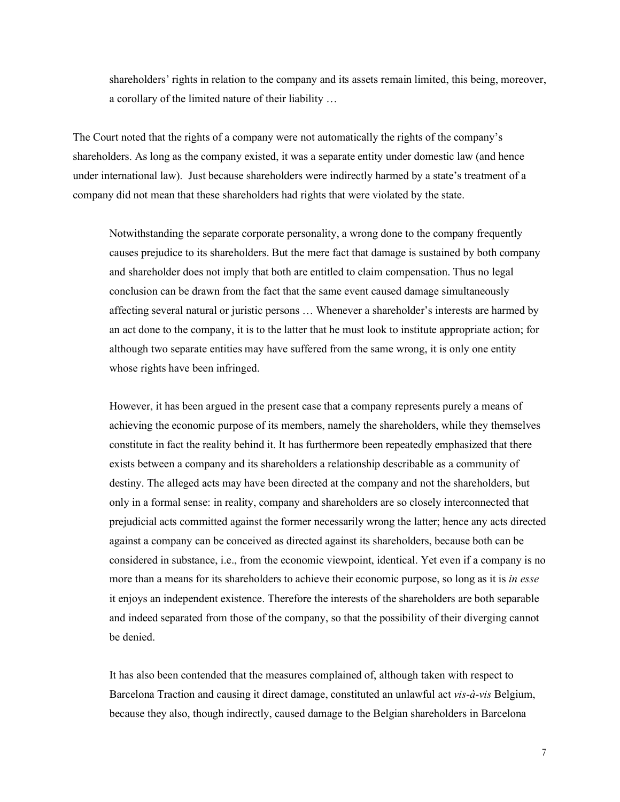shareholders' rights in relation to the company and its assets remain limited, this being, moreover, a corollary of the limited nature of their liability …

The Court noted that the rights of a company were not automatically the rights of the company's shareholders. As long as the company existed, it was a separate entity under domestic law (and hence under international law). Just because shareholders were indirectly harmed by a state's treatment of a company did not mean that these shareholders had rights that were violated by the state.

Notwithstanding the separate corporate personality, a wrong done to the company frequently causes prejudice to its shareholders. But the mere fact that damage is sustained by both company and shareholder does not imply that both are entitled to claim compensation. Thus no legal conclusion can be drawn from the fact that the same event caused damage simultaneously affecting several natural or juristic persons … Whenever a shareholder's interests are harmed by an act done to the company, it is to the latter that he must look to institute appropriate action; for although two separate entities may have suffered from the same wrong, it is only one entity whose rights have been infringed.

However, it has been argued in the present case that a company represents purely a means of achieving the economic purpose of its members, namely the shareholders, while they themselves constitute in fact the reality behind it. It has furthermore been repeatedly emphasized that there exists between a company and its shareholders a relationship describable as a community of destiny. The alleged acts may have been directed at the company and not the shareholders, but only in a formal sense: in reality, company and shareholders are so closely interconnected that prejudicial acts committed against the former necessarily wrong the latter; hence any acts directed against a company can be conceived as directed against its shareholders, because both can be considered in substance, i.e., from the economic viewpoint, identical. Yet even if a company is no more than a means for its shareholders to achieve their economic purpose, so long as it is *in esse* it enjoys an independent existence. Therefore the interests of the shareholders are both separable and indeed separated from those of the company, so that the possibility of their diverging cannot be denied.

It has also been contended that the measures complained of, although taken with respect to Barcelona Traction and causing it direct damage, constituted an unlawful act *vis-à-vis* Belgium, because they also, though indirectly, caused damage to the Belgian shareholders in Barcelona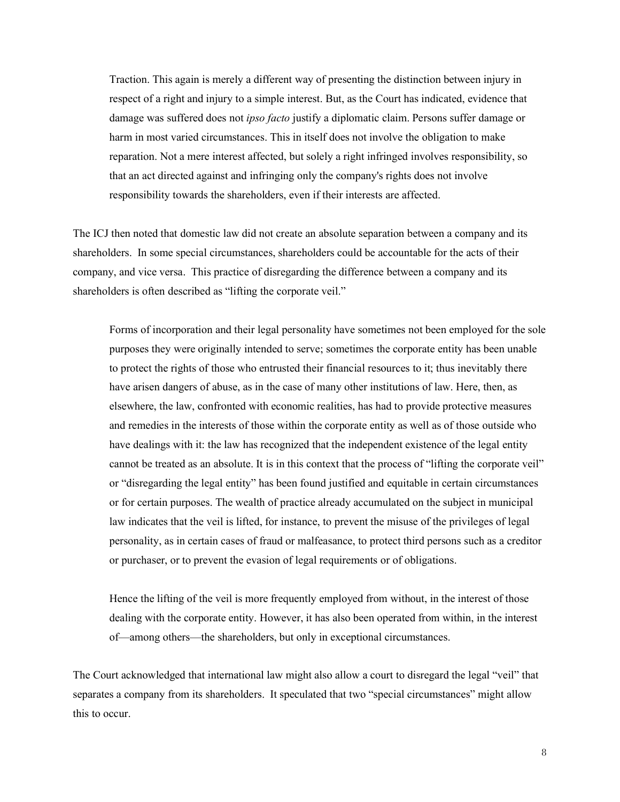Traction. This again is merely a different way of presenting the distinction between injury in respect of a right and injury to a simple interest. But, as the Court has indicated, evidence that damage was suffered does not *ipso facto* justify a diplomatic claim. Persons suffer damage or harm in most varied circumstances. This in itself does not involve the obligation to make reparation. Not a mere interest affected, but solely a right infringed involves responsibility, so that an act directed against and infringing only the company's rights does not involve responsibility towards the shareholders, even if their interests are affected.

The ICJ then noted that domestic law did not create an absolute separation between a company and its shareholders. In some special circumstances, shareholders could be accountable for the acts of their company, and vice versa. This practice of disregarding the difference between a company and its shareholders is often described as "lifting the corporate veil."

Forms of incorporation and their legal personality have sometimes not been employed for the sole purposes they were originally intended to serve; sometimes the corporate entity has been unable to protect the rights of those who entrusted their financial resources to it; thus inevitably there have arisen dangers of abuse, as in the case of many other institutions of law. Here, then, as elsewhere, the law, confronted with economic realities, has had to provide protective measures and remedies in the interests of those within the corporate entity as well as of those outside who have dealings with it: the law has recognized that the independent existence of the legal entity cannot be treated as an absolute. It is in this context that the process of "lifting the corporate veil" or "disregarding the legal entity" has been found justified and equitable in certain circumstances or for certain purposes. The wealth of practice already accumulated on the subject in municipal law indicates that the veil is lifted, for instance, to prevent the misuse of the privileges of legal personality, as in certain cases of fraud or malfeasance, to protect third persons such as a creditor or purchaser, or to prevent the evasion of legal requirements or of obligations.

Hence the lifting of the veil is more frequently employed from without, in the interest of those dealing with the corporate entity. However, it has also been operated from within, in the interest of—among others—the shareholders, but only in exceptional circumstances.

The Court acknowledged that international law might also allow a court to disregard the legal "veil" that separates a company from its shareholders. It speculated that two "special circumstances" might allow this to occur.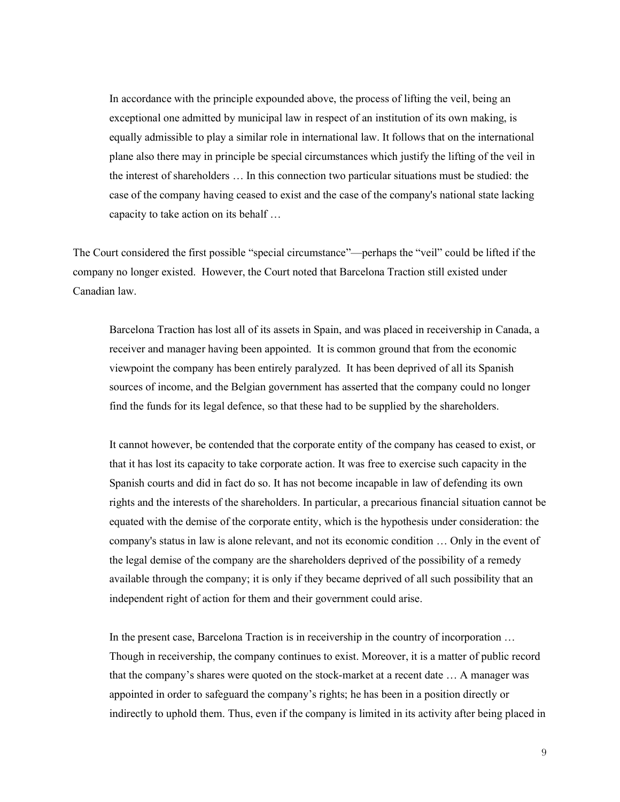In accordance with the principle expounded above, the process of lifting the veil, being an exceptional one admitted by municipal law in respect of an institution of its own making, is equally admissible to play a similar role in international law. It follows that on the international plane also there may in principle be special circumstances which justify the lifting of the veil in the interest of shareholders … In this connection two particular situations must be studied: the case of the company having ceased to exist and the case of the company's national state lacking capacity to take action on its behalf …

The Court considered the first possible "special circumstance"—perhaps the "veil" could be lifted if the company no longer existed. However, the Court noted that Barcelona Traction still existed under Canadian law.

Barcelona Traction has lost all of its assets in Spain, and was placed in receivership in Canada, a receiver and manager having been appointed. It is common ground that from the economic viewpoint the company has been entirely paralyzed. It has been deprived of all its Spanish sources of income, and the Belgian government has asserted that the company could no longer find the funds for its legal defence, so that these had to be supplied by the shareholders.

It cannot however, be contended that the corporate entity of the company has ceased to exist, or that it has lost its capacity to take corporate action. It was free to exercise such capacity in the Spanish courts and did in fact do so. It has not become incapable in law of defending its own rights and the interests of the shareholders. In particular, a precarious financial situation cannot be equated with the demise of the corporate entity, which is the hypothesis under consideration: the company's status in law is alone relevant, and not its economic condition … Only in the event of the legal demise of the company are the shareholders deprived of the possibility of a remedy available through the company; it is only if they became deprived of all such possibility that an independent right of action for them and their government could arise.

In the present case, Barcelona Traction is in receivership in the country of incorporation … Though in receivership, the company continues to exist. Moreover, it is a matter of public record that the company's shares were quoted on the stock-market at a recent date … A manager was appointed in order to safeguard the company's rights; he has been in a position directly or indirectly to uphold them. Thus, even if the company is limited in its activity after being placed in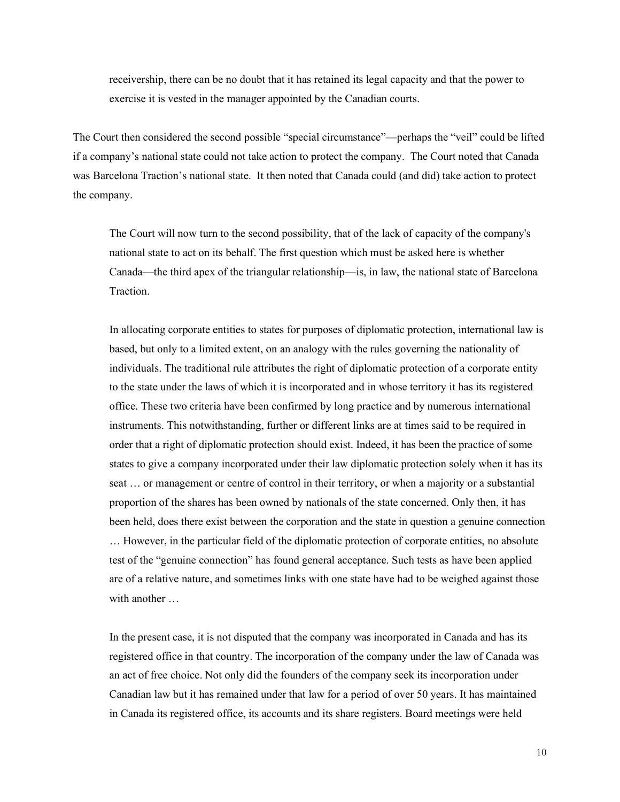receivership, there can be no doubt that it has retained its legal capacity and that the power to exercise it is vested in the manager appointed by the Canadian courts.

The Court then considered the second possible "special circumstance"—perhaps the "veil" could be lifted if a company's national state could not take action to protect the company. The Court noted that Canada was Barcelona Traction's national state. It then noted that Canada could (and did) take action to protect the company.

The Court will now turn to the second possibility, that of the lack of capacity of the company's national state to act on its behalf. The first question which must be asked here is whether Canada—the third apex of the triangular relationship—is, in law, the national state of Barcelona Traction.

In allocating corporate entities to states for purposes of diplomatic protection, international law is based, but only to a limited extent, on an analogy with the rules governing the nationality of individuals. The traditional rule attributes the right of diplomatic protection of a corporate entity to the state under the laws of which it is incorporated and in whose territory it has its registered office. These two criteria have been confirmed by long practice and by numerous international instruments. This notwithstanding, further or different links are at times said to be required in order that a right of diplomatic protection should exist. Indeed, it has been the practice of some states to give a company incorporated under their law diplomatic protection solely when it has its seat … or management or centre of control in their territory, or when a majority or a substantial proportion of the shares has been owned by nationals of the state concerned. Only then, it has been held, does there exist between the corporation and the state in question a genuine connection … However, in the particular field of the diplomatic protection of corporate entities, no absolute test of the "genuine connection" has found general acceptance. Such tests as have been applied are of a relative nature, and sometimes links with one state have had to be weighed against those with another  $\ldots$ 

In the present case, it is not disputed that the company was incorporated in Canada and has its registered office in that country. The incorporation of the company under the law of Canada was an act of free choice. Not only did the founders of the company seek its incorporation under Canadian law but it has remained under that law for a period of over 50 years. It has maintained in Canada its registered office, its accounts and its share registers. Board meetings were held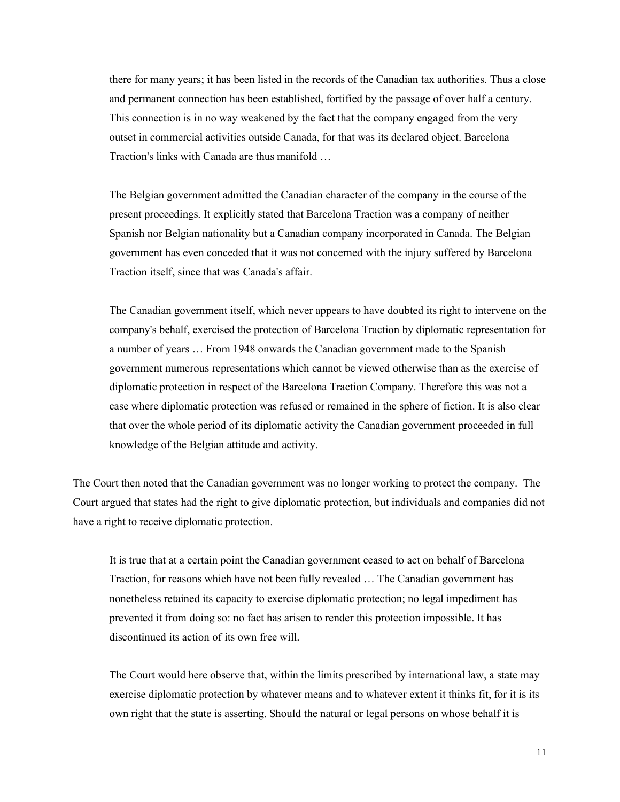there for many years; it has been listed in the records of the Canadian tax authorities. Thus a close and permanent connection has been established, fortified by the passage of over half a century. This connection is in no way weakened by the fact that the company engaged from the very outset in commercial activities outside Canada, for that was its declared object. Barcelona Traction's links with Canada are thus manifold …

The Belgian government admitted the Canadian character of the company in the course of the present proceedings. It explicitly stated that Barcelona Traction was a company of neither Spanish nor Belgian nationality but a Canadian company incorporated in Canada. The Belgian government has even conceded that it was not concerned with the injury suffered by Barcelona Traction itself, since that was Canada's affair.

The Canadian government itself, which never appears to have doubted its right to intervene on the company's behalf, exercised the protection of Barcelona Traction by diplomatic representation for a number of years … From 1948 onwards the Canadian government made to the Spanish government numerous representations which cannot be viewed otherwise than as the exercise of diplomatic protection in respect of the Barcelona Traction Company. Therefore this was not a case where diplomatic protection was refused or remained in the sphere of fiction. It is also clear that over the whole period of its diplomatic activity the Canadian government proceeded in full knowledge of the Belgian attitude and activity.

The Court then noted that the Canadian government was no longer working to protect the company. The Court argued that states had the right to give diplomatic protection, but individuals and companies did not have a right to receive diplomatic protection.

It is true that at a certain point the Canadian government ceased to act on behalf of Barcelona Traction, for reasons which have not been fully revealed … The Canadian government has nonetheless retained its capacity to exercise diplomatic protection; no legal impediment has prevented it from doing so: no fact has arisen to render this protection impossible. It has discontinued its action of its own free will.

The Court would here observe that, within the limits prescribed by international law, a state may exercise diplomatic protection by whatever means and to whatever extent it thinks fit, for it is its own right that the state is asserting. Should the natural or legal persons on whose behalf it is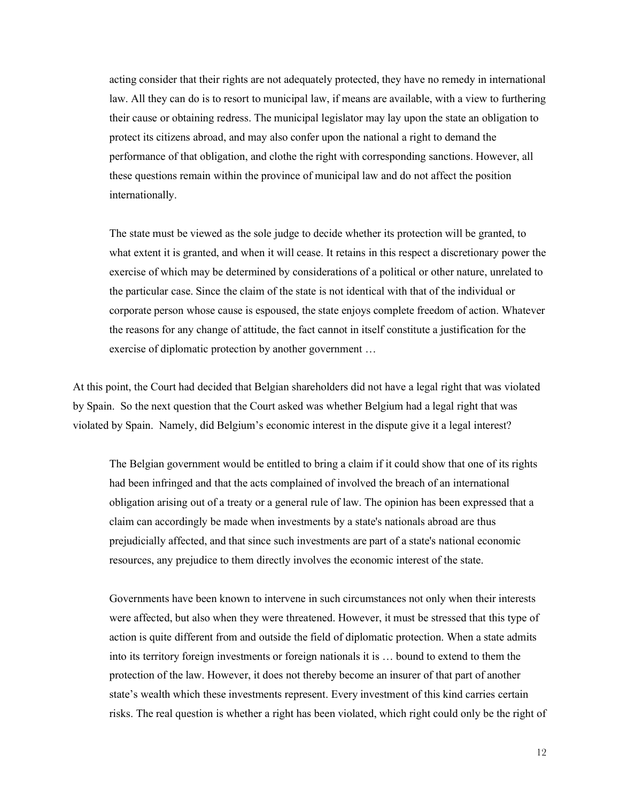acting consider that their rights are not adequately protected, they have no remedy in international law. All they can do is to resort to municipal law, if means are available, with a view to furthering their cause or obtaining redress. The municipal legislator may lay upon the state an obligation to protect its citizens abroad, and may also confer upon the national a right to demand the performance of that obligation, and clothe the right with corresponding sanctions. However, all these questions remain within the province of municipal law and do not affect the position internationally.

The state must be viewed as the sole judge to decide whether its protection will be granted, to what extent it is granted, and when it will cease. It retains in this respect a discretionary power the exercise of which may be determined by considerations of a political or other nature, unrelated to the particular case. Since the claim of the state is not identical with that of the individual or corporate person whose cause is espoused, the state enjoys complete freedom of action. Whatever the reasons for any change of attitude, the fact cannot in itself constitute a justification for the exercise of diplomatic protection by another government …

At this point, the Court had decided that Belgian shareholders did not have a legal right that was violated by Spain. So the next question that the Court asked was whether Belgium had a legal right that was violated by Spain. Namely, did Belgium's economic interest in the dispute give it a legal interest?

The Belgian government would be entitled to bring a claim if it could show that one of its rights had been infringed and that the acts complained of involved the breach of an international obligation arising out of a treaty or a general rule of law. The opinion has been expressed that a claim can accordingly be made when investments by a state's nationals abroad are thus prejudicially affected, and that since such investments are part of a state's national economic resources, any prejudice to them directly involves the economic interest of the state.

Governments have been known to intervene in such circumstances not only when their interests were affected, but also when they were threatened. However, it must be stressed that this type of action is quite different from and outside the field of diplomatic protection. When a state admits into its territory foreign investments or foreign nationals it is … bound to extend to them the protection of the law. However, it does not thereby become an insurer of that part of another state's wealth which these investments represent. Every investment of this kind carries certain risks. The real question is whether a right has been violated, which right could only be the right of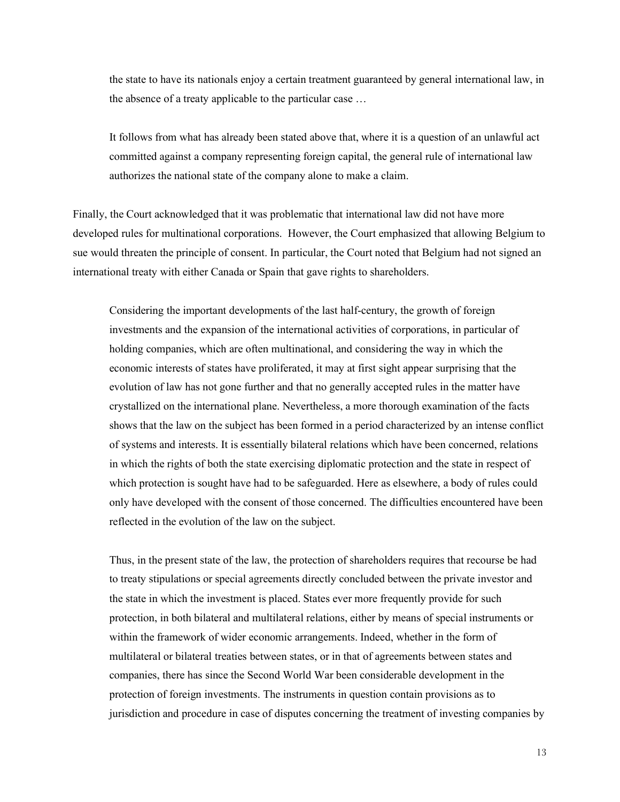the state to have its nationals enjoy a certain treatment guaranteed by general international law, in the absence of a treaty applicable to the particular case …

It follows from what has already been stated above that, where it is a question of an unlawful act committed against a company representing foreign capital, the general rule of international law authorizes the national state of the company alone to make a claim.

Finally, the Court acknowledged that it was problematic that international law did not have more developed rules for multinational corporations. However, the Court emphasized that allowing Belgium to sue would threaten the principle of consent. In particular, the Court noted that Belgium had not signed an international treaty with either Canada or Spain that gave rights to shareholders.

Considering the important developments of the last half-century, the growth of foreign investments and the expansion of the international activities of corporations, in particular of holding companies, which are often multinational, and considering the way in which the economic interests of states have proliferated, it may at first sight appear surprising that the evolution of law has not gone further and that no generally accepted rules in the matter have crystallized on the international plane. Nevertheless, a more thorough examination of the facts shows that the law on the subject has been formed in a period characterized by an intense conflict of systems and interests. It is essentially bilateral relations which have been concerned, relations in which the rights of both the state exercising diplomatic protection and the state in respect of which protection is sought have had to be safeguarded. Here as elsewhere, a body of rules could only have developed with the consent of those concerned. The difficulties encountered have been reflected in the evolution of the law on the subject.

Thus, in the present state of the law, the protection of shareholders requires that recourse be had to treaty stipulations or special agreements directly concluded between the private investor and the state in which the investment is placed. States ever more frequently provide for such protection, in both bilateral and multilateral relations, either by means of special instruments or within the framework of wider economic arrangements. Indeed, whether in the form of multilateral or bilateral treaties between states, or in that of agreements between states and companies, there has since the Second World War been considerable development in the protection of foreign investments. The instruments in question contain provisions as to jurisdiction and procedure in case of disputes concerning the treatment of investing companies by